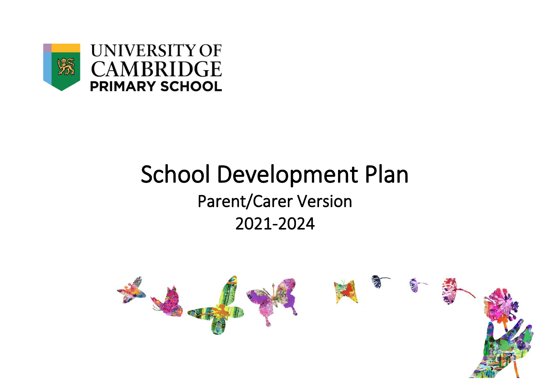

## School Development Plan Parent/Carer Version 2021-2024

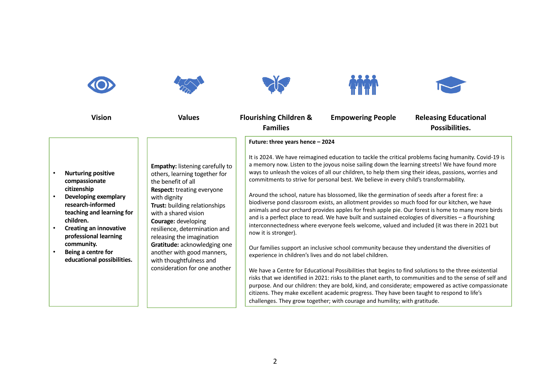| <b>Vision</b>                                                                                                                                                                                                                                                                             | <b>Values</b>                                                                                                                                                                                                                                                                                                                                                                                                              | <b>Flourishing Children &amp;</b><br><b>Families</b>                                                                  | <b>Empowering People</b>                                                                                                                                                                                                                                                                                                                                             | <b>Releasing Educational</b><br>Possibilities.                                                                                                                                                                                                                                                                                                                                                                                                                                                                                                                                                                                                                                                                                                                                                                                                                                                                                                                                                                                                                                                                                                               |
|-------------------------------------------------------------------------------------------------------------------------------------------------------------------------------------------------------------------------------------------------------------------------------------------|----------------------------------------------------------------------------------------------------------------------------------------------------------------------------------------------------------------------------------------------------------------------------------------------------------------------------------------------------------------------------------------------------------------------------|-----------------------------------------------------------------------------------------------------------------------|----------------------------------------------------------------------------------------------------------------------------------------------------------------------------------------------------------------------------------------------------------------------------------------------------------------------------------------------------------------------|--------------------------------------------------------------------------------------------------------------------------------------------------------------------------------------------------------------------------------------------------------------------------------------------------------------------------------------------------------------------------------------------------------------------------------------------------------------------------------------------------------------------------------------------------------------------------------------------------------------------------------------------------------------------------------------------------------------------------------------------------------------------------------------------------------------------------------------------------------------------------------------------------------------------------------------------------------------------------------------------------------------------------------------------------------------------------------------------------------------------------------------------------------------|
| <b>Nurturing positive</b><br>compassionate<br>citizenship<br>Developing exemplary<br>research-informed<br>teaching and learning for<br>children.<br><b>Creating an innovative</b><br>professional learning<br>community.<br>Being a centre for<br>$\bullet$<br>educational possibilities. | <b>Empathy:</b> listening carefully to<br>others, learning together for<br>the benefit of all<br><b>Respect:</b> treating everyone<br>with dignity<br>Trust: building relationships<br>with a shared vision<br>Courage: developing<br>resilience, determination and<br>releasing the imagination<br>Gratitude: acknowledging one<br>another with good manners,<br>with thoughtfulness and<br>consideration for one another | Future: three years hence - 2024<br>now it is stronger).<br>experience in children's lives and do not label children. | commitments to strive for personal best. We believe in every child's transformability.<br>Around the school, nature has blossomed, like the germination of seeds after a forest fire: a<br>citizens. They make excellent academic progress. They have been taught to respond to life's<br>challenges. They grow together; with courage and humility; with gratitude. | It is 2024. We have reimagined education to tackle the critical problems facing humanity. Covid-19 is<br>a memory now. Listen to the joyous noise sailing down the learning streets! We have found more<br>ways to unleash the voices of all our children, to help them sing their ideas, passions, worries and<br>biodiverse pond classroom exists, an allotment provides so much food for our kitchen, we have<br>animals and our orchard provides apples for fresh apple pie. Our forest is home to many more birds<br>and is a perfect place to read. We have built and sustained ecologies of diversities - a flourishing<br>interconnectedness where everyone feels welcome, valued and included (it was there in 2021 but<br>Our families support an inclusive school community because they understand the diversities of<br>We have a Centre for Educational Possibilities that begins to find solutions to the three existential<br>risks that we identified in 2021: risks to the planet earth, to communities and to the sense of self and<br>purpose. And our children: they are bold, kind, and considerate; empowered as active compassionate |